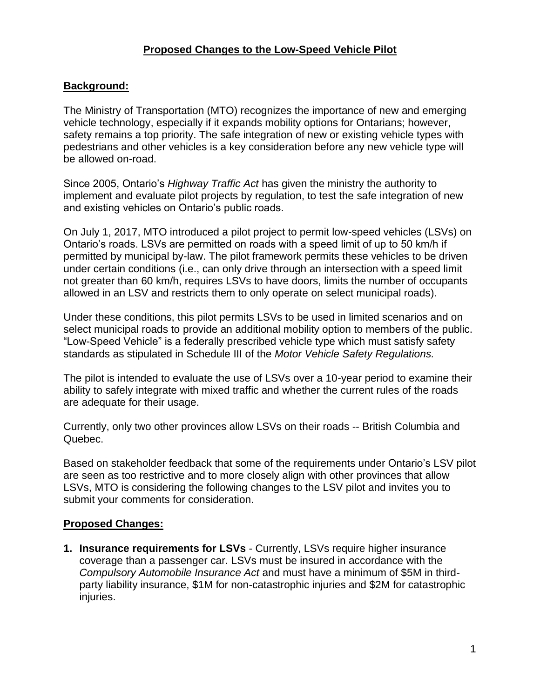## **Proposed Changes to the Low-Speed Vehicle Pilot**

## **Background:**

The Ministry of Transportation (MTO) recognizes the importance of new and emerging vehicle technology, especially if it expands mobility options for Ontarians; however, safety remains a top priority. The safe integration of new or existing vehicle types with pedestrians and other vehicles is a key consideration before any new vehicle type will be allowed on-road.

Since 2005, Ontario's *Highway Traffic Act* has given the ministry the authority to implement and evaluate pilot projects by regulation, to test the safe integration of new and existing vehicles on Ontario's public roads.

On July 1, 2017, MTO introduced a pilot project to permit low-speed vehicles (LSVs) on Ontario's roads. LSVs are permitted on roads with a speed limit of up to 50 km/h if permitted by municipal by-law. The pilot framework permits these vehicles to be driven under certain conditions (i.e., can only drive through an intersection with a speed limit not greater than 60 km/h, requires LSVs to have doors, limits the number of occupants allowed in an LSV and restricts them to only operate on select municipal roads).

Under these conditions, this pilot permits LSVs to be used in limited scenarios and on select municipal roads to provide an additional mobility option to members of the public. "Low-Speed Vehicle" is a federally prescribed vehicle type which must satisfy safety standards as stipulated in Schedule III of the *[Motor Vehicle Safety Regulations.](https://can01.safelinks.protection.outlook.com/?url=https%3A%2F%2Ftc.canada.ca%2Fen%2Fcorporate-services%2Facts-regulations%2Fmotor-vehicle-safety-regulations-crc-c-1038&data=02%7C01%7CFazelah.Ali%40ontario.ca%7C90c7cdcbfcd34be10b5708d850e479b3%7Ccddc1229ac2a4b97b78a0e5cacb5865c%7C0%7C0%7C637348289526268124&sdata=R5AL8BiEvSJTWjft1K2g%2B8c6omP%2BthwtCJcEg9tNCdQ%3D&reserved=0)*

The pilot is intended to evaluate the use of LSVs over a 10-year period to examine their ability to safely integrate with mixed traffic and whether the current rules of the roads are adequate for their usage.

Currently, only two other provinces allow LSVs on their roads -- British Columbia and Quebec.

Based on stakeholder feedback that some of the requirements under Ontario's LSV pilot are seen as too restrictive and to more closely align with other provinces that allow LSVs, MTO is considering the following changes to the LSV pilot and invites you to submit your comments for consideration.

## **Proposed Changes:**

**1. Insurance requirements for LSVs** - Currently, LSVs require higher insurance coverage than a passenger car. LSVs must be insured in accordance with the *Compulsory Automobile Insurance Act* and must have a minimum of \$5M in thirdparty liability insurance, \$1M for non-catastrophic injuries and \$2M for catastrophic injuries.